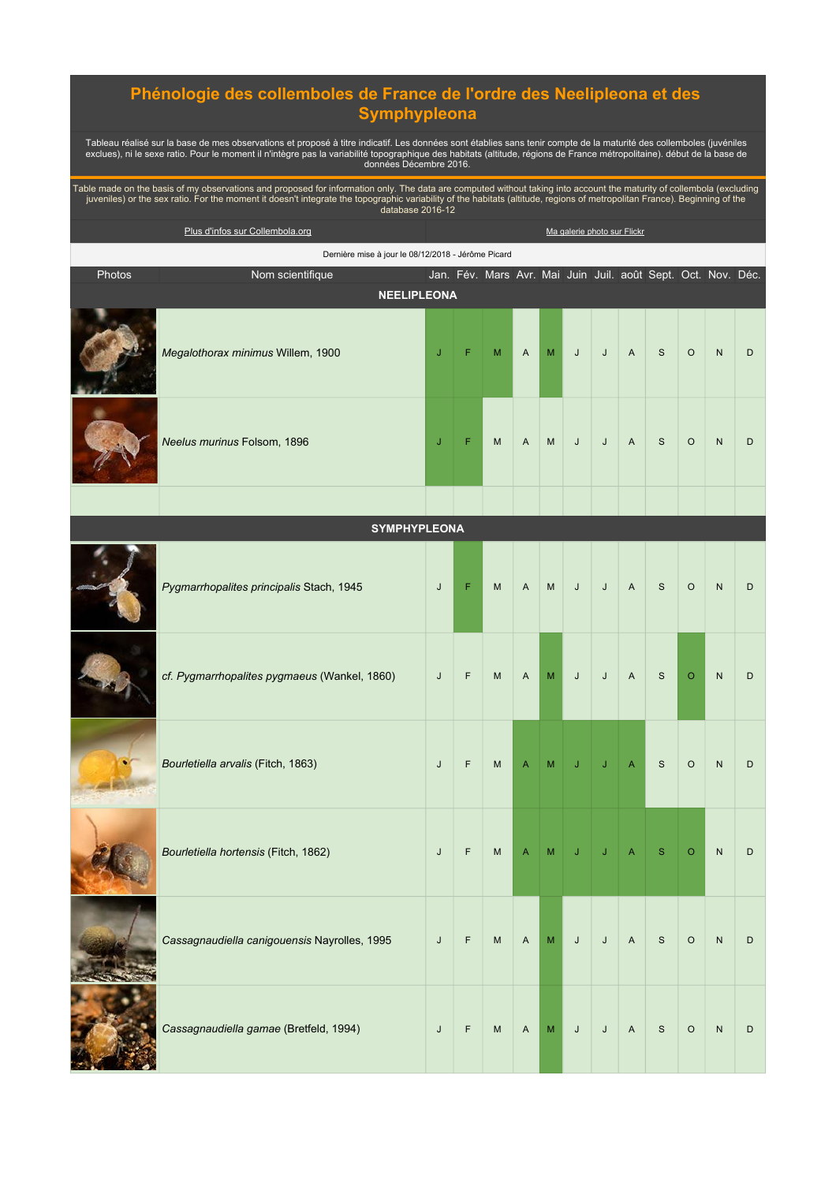## **Phénologie des collemboles de France de l'ordre des Neelipleona et des Symphypleona**

Tableau réalisé sur la base de mes observations et proposé à titre indicatif. Les données sont établies sans tenir compte de la maturité des collemboles (juvéniles<br>exclues), ni le sexe ratio. Pour le moment il n'intègre pa

Table made on the basis of my observations and proposed for information only. The data are computed without taking into account the maturity of collembola (excluding<br>juveniles) or the sex ratio. For the moment it doesn't i

|        | Plus d'infos sur Collembola.org                    |   |   |   |                |   |   |   | Ma galerie photo sur Flickr |                                                              |         |           |   |
|--------|----------------------------------------------------|---|---|---|----------------|---|---|---|-----------------------------|--------------------------------------------------------------|---------|-----------|---|
|        | Dernière mise à jour le 08/12/2018 - Jérôme Picard |   |   |   |                |   |   |   |                             |                                                              |         |           |   |
| Photos | Nom scientifique                                   |   |   |   |                |   |   |   |                             | Jan. Fév. Mars Avr. Mai Juin Juil. août Sept. Oct. Nov. Déc. |         |           |   |
|        | <b>NEELIPLEONA</b>                                 |   |   |   |                |   |   |   |                             |                                                              |         |           |   |
|        | Megalothorax minimus Willem, 1900                  | J | F | M | $\overline{A}$ | M | J | J | $\overline{A}$              | S                                                            | $\circ$ | N         | D |
|        | Neelus murinus Folsom, 1896                        | J | F | M | $\overline{A}$ | M | J | J | $\overline{A}$              | S                                                            | $\circ$ | ${\sf N}$ | D |
|        |                                                    |   |   |   |                |   |   |   |                             |                                                              |         |           |   |

| <b>SYMPHYPLEONA</b> |  |  |  |  |
|---------------------|--|--|--|--|
|---------------------|--|--|--|--|

| Pygmarrhopalites principalis Stach, 1945     | $\mathsf{J}$ | F           | ${\sf M}$ | A              | M | $\mathsf J$ | $\mathsf J$ | $\mathsf{A}$   | $\mathsf{s}$ | $\circ$ | $\mathsf{N}$ | D |
|----------------------------------------------|--------------|-------------|-----------|----------------|---|-------------|-------------|----------------|--------------|---------|--------------|---|
| cf. Pygmarrhopalites pygmaeus (Wankel, 1860) | $\mathsf{J}$ | $\mathsf F$ | M         | $\mathsf{A}$   | M | $\sf J$     | J           | $\mathsf A$    | $\mathbf S$  | $\circ$ | N            | D |
| Bourletiella arvalis (Fitch, 1863)           | $\mathsf{J}$ | $\mathsf F$ | M         | $\overline{A}$ | M | J           | IJ          | A              | $\mathsf{s}$ | $\circ$ | $\mathsf{N}$ | D |
| Bourletiella hortensis (Fitch, 1862)         | J            | $\mathsf F$ | M         | $\overline{A}$ | M | J           | J           | A              | S            | $\circ$ | N            | D |
| Cassagnaudiella canigouensis Nayrolles, 1995 | $\mathsf{J}$ | $\mathsf F$ | M         | $\mathsf{A}$   | M | $\mathsf J$ | $\mathsf J$ | $\mathsf A$    | $\mathsf S$  | $\circ$ | $\mathsf{N}$ | D |
| Cassagnaudiella gamae (Bretfeld, 1994)       | J            | $\mathsf F$ | M         | $\overline{A}$ | M | J           | J           | $\overline{A}$ | $\mathsf{s}$ | $\circ$ | $\mathsf{N}$ | D |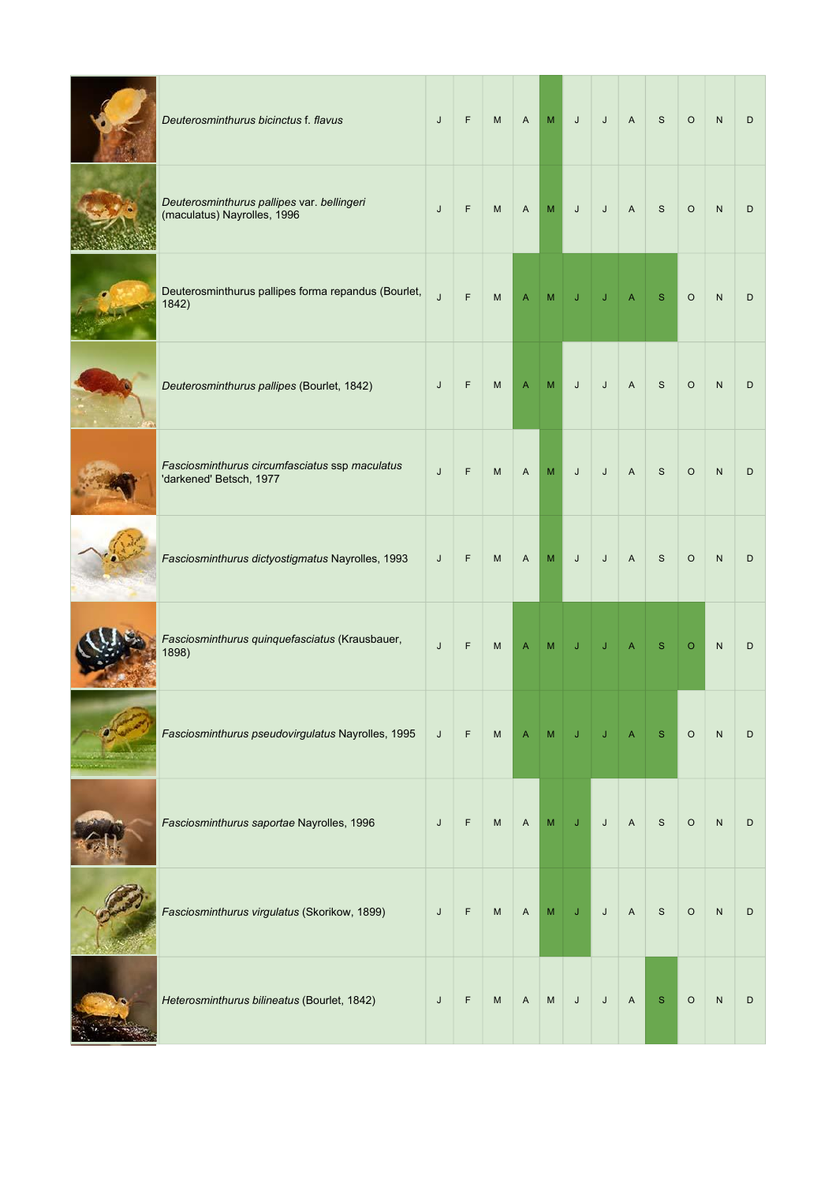| Deuterosminthurus bicinctus f. flavus                                     | J | F | ${\sf M}$ | A            | M | J | J | $\boldsymbol{\mathsf{A}}$ | $\mathsf{s}$  | $\circ$ | ${\sf N}$    | D |
|---------------------------------------------------------------------------|---|---|-----------|--------------|---|---|---|---------------------------|---------------|---------|--------------|---|
| Deuterosminthurus pallipes var. bellingeri<br>(maculatus) Nayrolles, 1996 | J | F | M         | A            | M | J | J | $\overline{A}$            | $\mathsf{s}$  | $\circ$ | $\mathsf{N}$ | D |
| Deuterosminthurus pallipes forma repandus (Bourlet,<br>1842)              | J | F | M         | A            | M |   |   | Α                         | S             | $\circ$ | $\mathsf{N}$ | D |
| Deuterosminthurus pallipes (Bourlet, 1842)                                | J | F | M         | Α            | M | J | J | $\boldsymbol{\mathsf{A}}$ | $\mathsf{s}$  | $\circ$ | $\mathsf{N}$ | D |
| Fasciosminthurus circumfasciatus ssp maculatus<br>'darkened' Betsch, 1977 | J | F | M         | $\mathsf{A}$ | M | J | J | $\boldsymbol{\mathsf{A}}$ | S             | $\circ$ | ${\sf N}$    | D |
| Fasciosminthurus dictyostigmatus Nayrolles, 1993                          | J | F | ${\sf M}$ | A            | M | J | J | $\boldsymbol{\mathsf{A}}$ | S             | $\circ$ | ${\sf N}$    | D |
| Fasciosminthurus quinquefasciatus (Krausbauer,<br>1898)                   | J | F | M         | Α            | М | J |   |                           | S             | $\circ$ | $\mathsf{N}$ | D |
| Fasciosminthurus pseudovirgulatus Nayrolles, 1995                         | J | F | M         | Α            | M |   |   |                           | S             | $\circ$ | ${\sf N}$    | D |
| Fasciosminthurus saportae Nayrolles, 1996                                 | J | F | ${\sf M}$ | A            | M | J | J | $\boldsymbol{\mathsf{A}}$ | ${\mathsf S}$ | $\circ$ | ${\sf N}$    | D |
| Fasciosminthurus virgulatus (Skorikow, 1899)                              | J | F | M         | Α            | M | J | J | Α                         | S             | $\circ$ | ${\sf N}$    | D |
| Heterosminthurus bilineatus (Bourlet, 1842)                               | J | F | M         | Α            | M | J | J | $\boldsymbol{\mathsf{A}}$ | $\mathbf{s}$  | $\circ$ | ${\sf N}$    | D |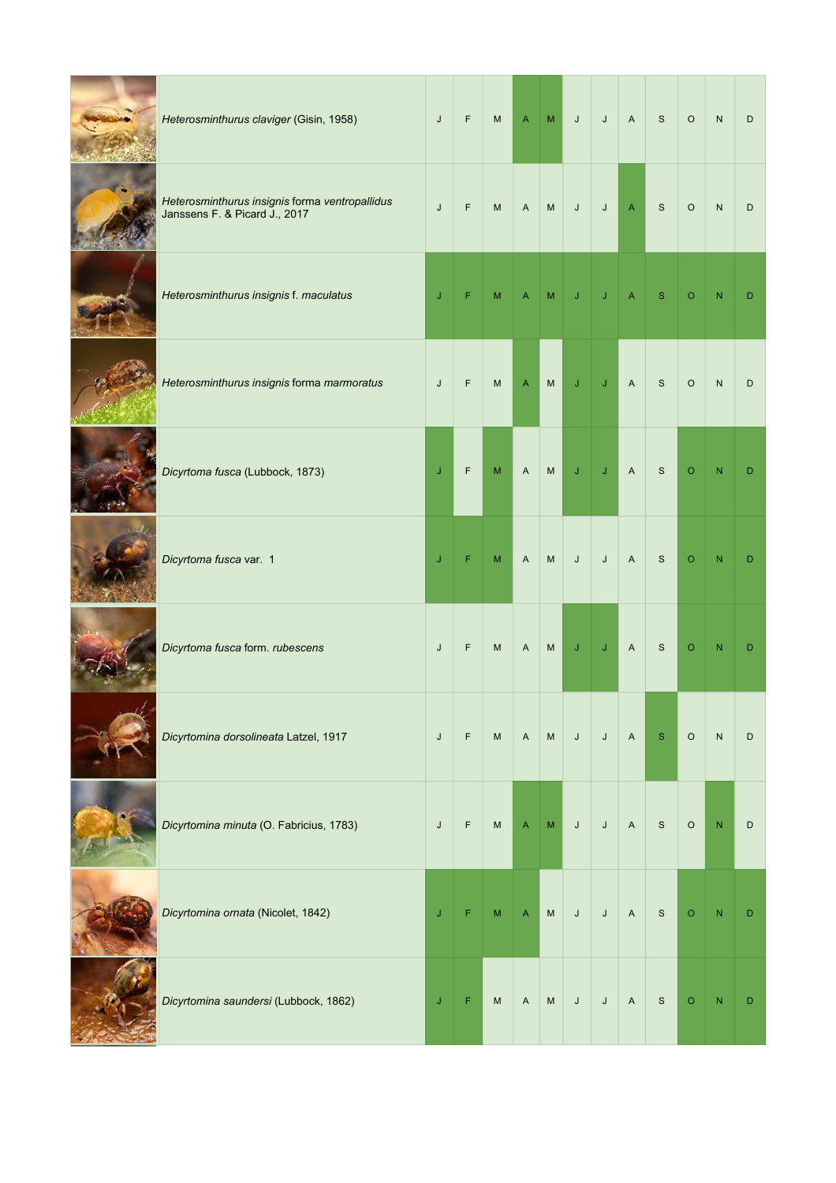| Heterosminthurus claviger (Gisin, 1958)                                         | J           | F           | ${\sf M}$ | $\mathsf{A}% _{\mathsf{A}}^{\prime}=\mathsf{A}_{\mathsf{A}}^{\prime}$ | ${\sf M}$                         | $\mathsf J$  | $\sf J$      | $\mathsf A$                                                           | S            | $\circ$ | ${\sf N}$    | D |
|---------------------------------------------------------------------------------|-------------|-------------|-----------|-----------------------------------------------------------------------|-----------------------------------|--------------|--------------|-----------------------------------------------------------------------|--------------|---------|--------------|---|
| Heterosminthurus insignis forma ventropallidus<br>Janssens F. & Picard J., 2017 | $\mathsf J$ | F           | M         | $\mathsf A$                                                           | ${\sf M}$                         | $\mathsf J$  | $\mathsf J$  | $\mathsf{A}% _{\mathsf{A}}^{\prime}=\mathsf{A}_{\mathsf{A}}^{\prime}$ | $\mathsf{s}$ | $\circ$ | ${\sf N}$    | D |
| Heterosminthurus insignis f. maculatus                                          | J           | F           | M         |                                                                       | M                                 |              |              |                                                                       | S            | $\circ$ |              | D |
| Heterosminthurus insignis forma marmoratus                                      | $\mathsf J$ | $\mathsf F$ | M         | $\mathsf{A}% _{\mathsf{A}}^{\prime}=\mathsf{A}_{\mathsf{A}}^{\prime}$ | ${\sf M}$                         | $\mathsf J$  | $\mathsf J$  | $\mathsf{A}$                                                          | $\mathbf S$  | $\circ$ | $\mathsf{N}$ | D |
| Dicyrtoma fusca (Lubbock, 1873)                                                 | $\mathsf J$ | F           | ${\sf M}$ | $\mathsf A$                                                           | $\mathsf{M}% _{H}=\mathsf{M}_{H}$ | $\mathbf{J}$ | $\mathsf{J}$ | $\overline{A}$                                                        | $\mathsf{s}$ | $\circ$ | $\mathsf{N}$ | D |
| Dicyrtoma fusca var. 1                                                          | J           | F           | ${\sf M}$ | $\mathsf{A}$                                                          | ${\sf M}$                         | J            | $\sf J$      | $\mathsf A$                                                           | $\mathsf{s}$ | $\circ$ | N            | D |
| Dicyrtoma fusca form. rubescens                                                 | $\mathsf J$ | $\mathsf F$ | M         | $\boldsymbol{\mathsf{A}}$                                             | ${\sf M}$                         | $\mathsf J$  | J            | $\boldsymbol{\mathsf{A}}$                                             | $\mathsf{s}$ | $\circ$ | N            | D |
| Dicyrtomina dorsolineata Latzel, 1917                                           | $\mathsf J$ | F           | M         | $\mathsf{A}$                                                          | ${\sf M}$                         | $\mathsf J$  | $\mathsf{J}$ | $\mathsf{A}$                                                          | ${\bf S}$    | $\circ$ | ${\sf N}$    | D |
| Dicyrtomina minuta (O. Fabricius, 1783)                                         | $\mathsf J$ | F           | ${\sf M}$ | A                                                                     | M                                 | J            | J            | $\mathsf{A}$                                                          | $\mathbf S$  | $\circ$ | $\mathsf{N}$ | D |
| Dicyrtomina ornata (Nicolet, 1842)                                              | J           | F           | ${\sf M}$ | $\boldsymbol{\mathsf{A}}$                                             | ${\sf M}$                         | $\mathsf J$  | $\sf J$      | $\mathsf{A}$                                                          | $\mathsf{s}$ | $\circ$ | ${\sf N}$    | D |
| Dicyrtomina saundersi (Lubbock, 1862)                                           | J           | F           | M         | $\mathsf A$                                                           | M                                 | $\mathsf J$  | $\mathsf J$  | $\mathsf A$                                                           | $\mathsf S$  | $\circ$ | ${\sf N}$    | D |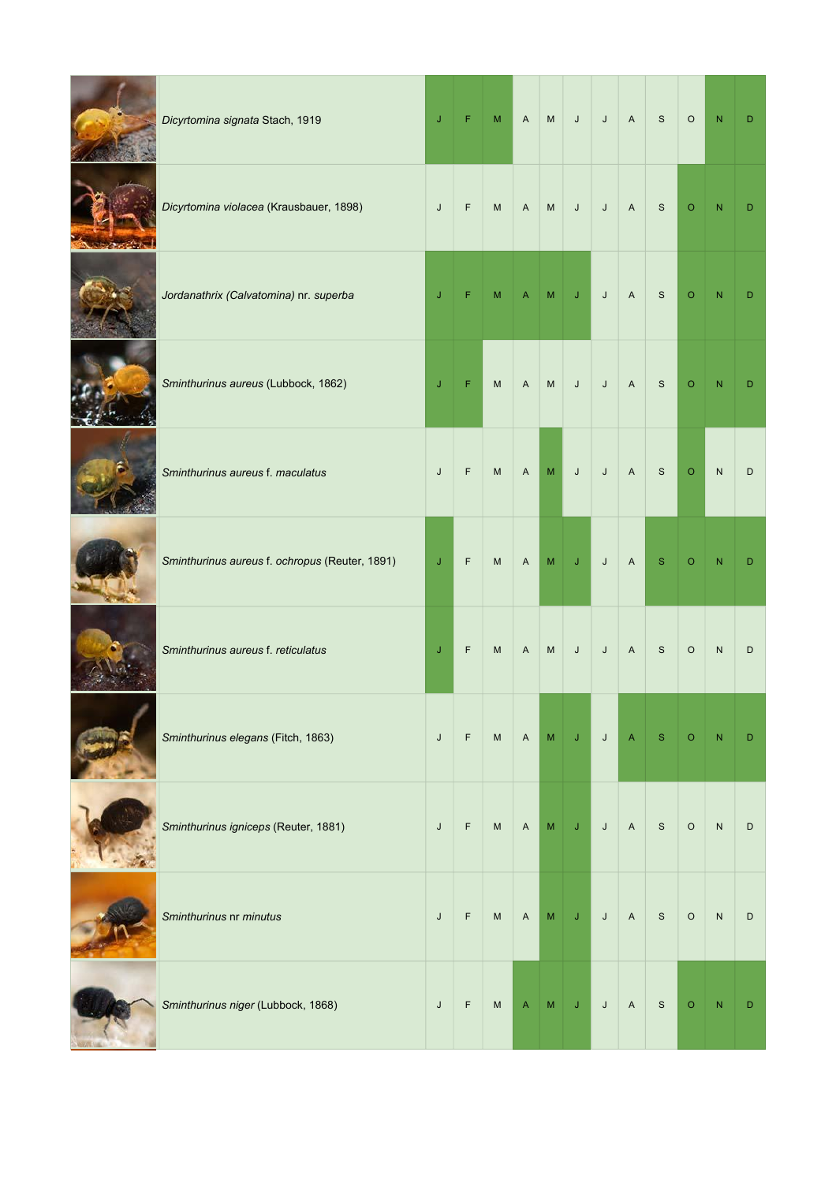| Dicyrtomina signata Stach, 1919                | J            | F           | $\mathsf{M}\xspace$               | $\mathsf{A}$ | ${\sf M}$ | $\mathsf J$ | $\mathsf J$ | $\mathsf{A}$              | $\mathsf{s}$ | $\circ$ | $\mathsf{N}$ | D |
|------------------------------------------------|--------------|-------------|-----------------------------------|--------------|-----------|-------------|-------------|---------------------------|--------------|---------|--------------|---|
| Dicyrtomina violacea (Krausbauer, 1898)        | J            | $\mathsf F$ | ${\sf M}$                         | $\mathsf{A}$ | ${\sf M}$ | $\mathsf J$ | $\mathsf J$ | $\mathsf{A}$              | $\mathsf{s}$ | $\circ$ | N            | D |
| Jordanathrix (Calvatomina) nr. superba         | J            | F           | м                                 |              | м         | J           | J           | $\mathsf A$               | $\mathsf{s}$ | $\circ$ |              | D |
| Sminthurinus aureus (Lubbock, 1862)            | J            | F           | M                                 | A            | ${\sf M}$ | $\mathsf J$ | $\sf J$     | $\mathsf A$               | <sub>S</sub> | $\circ$ |              | D |
| Sminthurinus aureus f. maculatus               | J            | $\mathsf F$ | ${\sf M}$                         | $\mathsf{A}$ | M         | $\mathsf J$ | $\mathsf J$ | $\mathsf A$               | S            | $\circ$ | $\mathsf{N}$ | D |
| Sminthurinus aureus f. ochropus (Reuter, 1891) | $\mathsf{J}$ | F           | M                                 | $\mathsf{A}$ | M         | J           | $\sf J$     | $\mathsf{A}$              | S            | $\circ$ |              | D |
| Sminthurinus aureus f. reticulatus             | J            | $\mathsf F$ | M                                 | A            | M         | J           | J           | $\boldsymbol{\mathsf{A}}$ | $\mathsf{s}$ | $\circ$ | $\mathsf{N}$ | D |
| Sminthurinus elegans (Fitch, 1863)             | J            | $\mathsf F$ | $\mathsf{M}% _{H}=\mathsf{M}_{H}$ | $\mathsf{A}$ | ${\sf M}$ | J           | J           | Α                         | S            | O       |              | D |
| Sminthurinus igniceps (Reuter, 1881)           | J            | $\mathsf F$ | ${\sf M}$                         | $\mathsf{A}$ | M         | J           | J           | $\mathsf A$               | $\mathbf S$  | $\circ$ | ${\sf N}$    | D |
| Sminthurinus nr minutus                        | J            | $\mathsf F$ | M                                 | $\mathsf{A}$ | M         | $\mathsf J$ | $\mathsf J$ | $\mathsf{A}$              | $\mathsf{s}$ | $\circ$ | ${\sf N}$    | D |
| Sminthurinus niger (Lubbock, 1868)             | J            | $\mathsf F$ | ${\sf M}$                         | A            | M         | $\mathsf J$ | J           | $\mathsf A$               | $\mathbf S$  | $\circ$ | N            | D |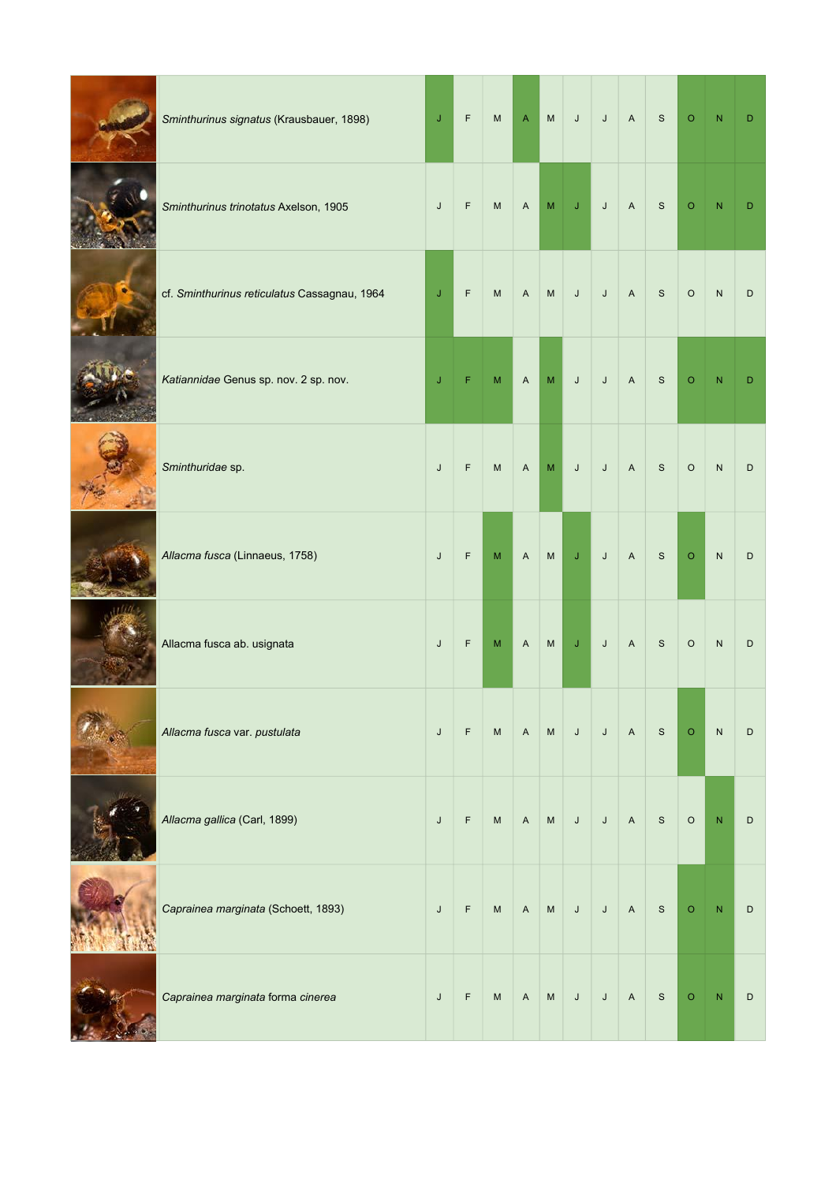| Sminthurinus signatus (Krausbauer, 1898)     | $\mathsf J$ | $\mathsf F$ | $\mathsf{M}% _{H}=\mathsf{M}_{H}$ | $\mathsf{A}$              | ${\sf M}$                                                                                                  | $\mathsf J$ | $\mathsf J$ | $\mathsf{A}$ | $\mathsf{S}$ | $\mathsf O$ | ${\sf N}$ | D |
|----------------------------------------------|-------------|-------------|-----------------------------------|---------------------------|------------------------------------------------------------------------------------------------------------|-------------|-------------|--------------|--------------|-------------|-----------|---|
| Sminthurinus trinotatus Axelson, 1905        | J           | F           | M                                 | $\mathsf{A}$              | M                                                                                                          | $\mathsf J$ | $\sf J$     | $\mathsf{A}$ | $\mathsf{S}$ | $\circ$     | N         | D |
| cf. Sminthurinus reticulatus Cassagnau, 1964 | J           | $\mathsf F$ | M                                 | $\boldsymbol{\mathsf{A}}$ | $\mathsf{M}% _{T}=\mathsf{M}_{T}\!\left( a,b\right) ,\ \mathsf{M}_{T}=\mathsf{M}_{T}\!\left( a,b\right) ,$ | $\mathsf J$ | $\mathsf J$ | $\mathsf A$  | $\mathsf S$  | $\circ$     | ${\sf N}$ | D |
| Katiannidae Genus sp. nov. 2 sp. nov.        | J           | F           | M                                 | $\boldsymbol{\mathsf{A}}$ | M                                                                                                          | $\sf J$     | J           | $\mathsf A$  | <sub>S</sub> | $\mathsf O$ | N         | D |
| Sminthuridae sp.                             | J           | $\mathsf F$ | M                                 | $\mathsf{A}$              | M                                                                                                          | $\mathsf J$ | $\sf J$     | $\mathsf A$  | $\mathsf S$  | $\circ$     | ${\sf N}$ | D |
| Allacma fusca (Linnaeus, 1758)               | J           | $\mathsf F$ | ${\sf M}$                         | $\boldsymbol{A}$          | $\mathsf{M}% _{T}=\mathsf{M}_{T}\!\left( a,b\right) ,\ \mathsf{M}_{T}=\mathsf{M}_{T}\!\left( a,b\right) ,$ | $\mathsf J$ | $\mathsf J$ | $\mathsf{A}$ | $\mathsf{S}$ | $\mathsf O$ | ${\sf N}$ | D |
| Allacma fusca ab. usignata                   | J           | F           | ${\sf M}$                         | $\overline{A}$            | ${\sf M}$                                                                                                  | $\mathsf J$ | $\sf J$     | $\mathsf{A}$ | $\mathbf S$  | $\circ$     | ${\sf N}$ | D |
| Allacma fusca var. pustulata                 | $\sf J$     | $\mathsf F$ | $\mathsf{M}% _{H}=\mathsf{M}_{H}$ | $\mathsf{A}$              | ${\sf M}$                                                                                                  | $\mathsf J$ | $\mathsf J$ | $\mathsf{A}$ | $\mathsf{S}$ | $\circ$     | ${\sf N}$ | D |
| Allacma gallica (Carl, 1899)                 | J           | $\mathsf F$ | $\mathsf{M}% _{H}=\mathsf{M}_{H}$ | $\boldsymbol{\mathsf{A}}$ | ${\sf M}$                                                                                                  | $\mathsf J$ | $\sf J$     | $\mathsf A$  | $\mathsf S$  | $\circ$     | N         | D |
| Caprainea marginata (Schoett, 1893)          | $\mathsf J$ | $\mathsf F$ | ${\sf M}$                         | $\mathsf{A}$              | ${\sf M}$                                                                                                  | $\sf J$     | $\mathsf J$ | $\mathsf{A}$ | $\mathsf{S}$ | $\circ$     | N         | D |
| Caprainea marginata forma cinerea            | J           | F           | M                                 | $\boldsymbol{\mathsf{A}}$ | ${\sf M}$                                                                                                  | $\mathsf J$ | J           | $\mathsf{A}$ | $\mathsf{S}$ | $\circ$     | N         | D |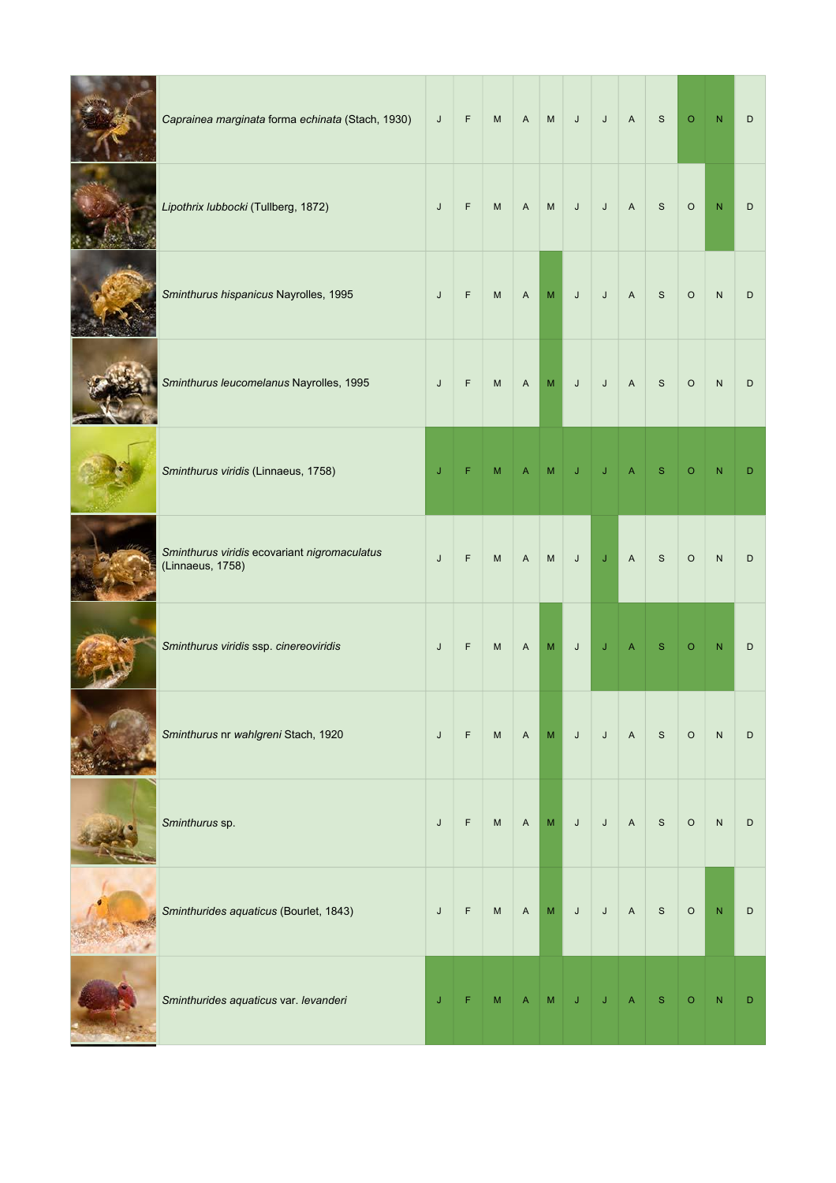| Caprainea marginata forma echinata (Stach, 1930)                 | J       | $\mathsf F$ | M                                 | $\mathsf{A}$ | ${\sf M}$                                                                                                  | $\mathsf J$ | $\mathsf J$ | $\mathsf A$               | $\mathsf S$  | $\circ$ | N            | D |
|------------------------------------------------------------------|---------|-------------|-----------------------------------|--------------|------------------------------------------------------------------------------------------------------------|-------------|-------------|---------------------------|--------------|---------|--------------|---|
| Lipothrix lubbocki (Tullberg, 1872)                              | J       | F           | ${\sf M}$                         | $\mathsf{A}$ | M                                                                                                          | $\sf J$     | $\sf J$     | $\boldsymbol{\mathsf{A}}$ | $\mathsf{s}$ | $\circ$ | N            | D |
| Sminthurus hispanicus Nayrolles, 1995                            | J       | F           | ${\sf M}$                         | A            | M                                                                                                          | $\sf J$     | J           | $\boldsymbol{\mathsf{A}}$ | S            | $\circ$ | ${\sf N}$    | D |
| Sminthurus leucomelanus Nayrolles, 1995                          | J       | F           | M                                 | A            | M                                                                                                          | $\mathsf J$ | J           | $\boldsymbol{\mathsf{A}}$ | $\mathsf{s}$ | $\circ$ | ${\sf N}$    | D |
| Sminthurus viridis (Linnaeus, 1758)                              | $\sf J$ | F           | ${\sf M}$                         | A            | ${\sf M}$                                                                                                  | $\mathsf J$ | J           | A                         | ${\bf S}$    | $\circ$ | N            | D |
| Sminthurus viridis ecovariant nigromaculatus<br>(Linnaeus, 1758) | J       | $\mathsf F$ | ${\sf M}$                         | $\mathsf A$  | M                                                                                                          | J           | J           | $\overline{A}$            | $\mathsf{s}$ | $\circ$ | ${\sf N}$    | D |
| Sminthurus viridis ssp. cinereoviridis                           | J       | F           | ${\sf M}$                         | A            | M                                                                                                          | J           | J           | A                         | S            | $\circ$ | $\mathsf{N}$ | D |
| Sminthurus nr wahlgreni Stach, 1920                              | J       | $\mathsf F$ | ${\sf M}$                         | $\mathsf{A}$ | ${\sf M}$                                                                                                  | $\mathsf J$ | $\sf J$     | $\mathsf{A}$              | $\mathsf S$  | $\circ$ | ${\sf N}$    | D |
| Sminthurus sp.                                                   | J       | $\mathsf F$ | $\mathsf{M}% _{H}=\mathsf{M}_{H}$ | A            | $\mathsf{M}% _{T}=\mathsf{M}_{T}\!\left( a,b\right) ,\ \mathsf{M}_{T}=\mathsf{M}_{T}\!\left( a,b\right) ,$ | $\mathsf J$ | $\sf J$     | $\mathsf A$               | $\mathsf S$  | $\circ$ | ${\sf N}$    | D |
| Sminthurides aquaticus (Bourlet, 1843)                           | J       | $\mathsf F$ | ${\sf M}$                         | $\mathsf{A}$ | ${\sf M}$                                                                                                  | $\mathsf J$ | $\sf J$     | $\mathsf A$               | $\mathsf{S}$ | $\circ$ | $\mathsf{N}$ | D |
| Sminthurides aquaticus var. levanderi                            | J       | F           | ${\sf M}$                         | A            | M                                                                                                          | J           | J           | A                         | $\mathbf S$  | $\circ$ | N            | D |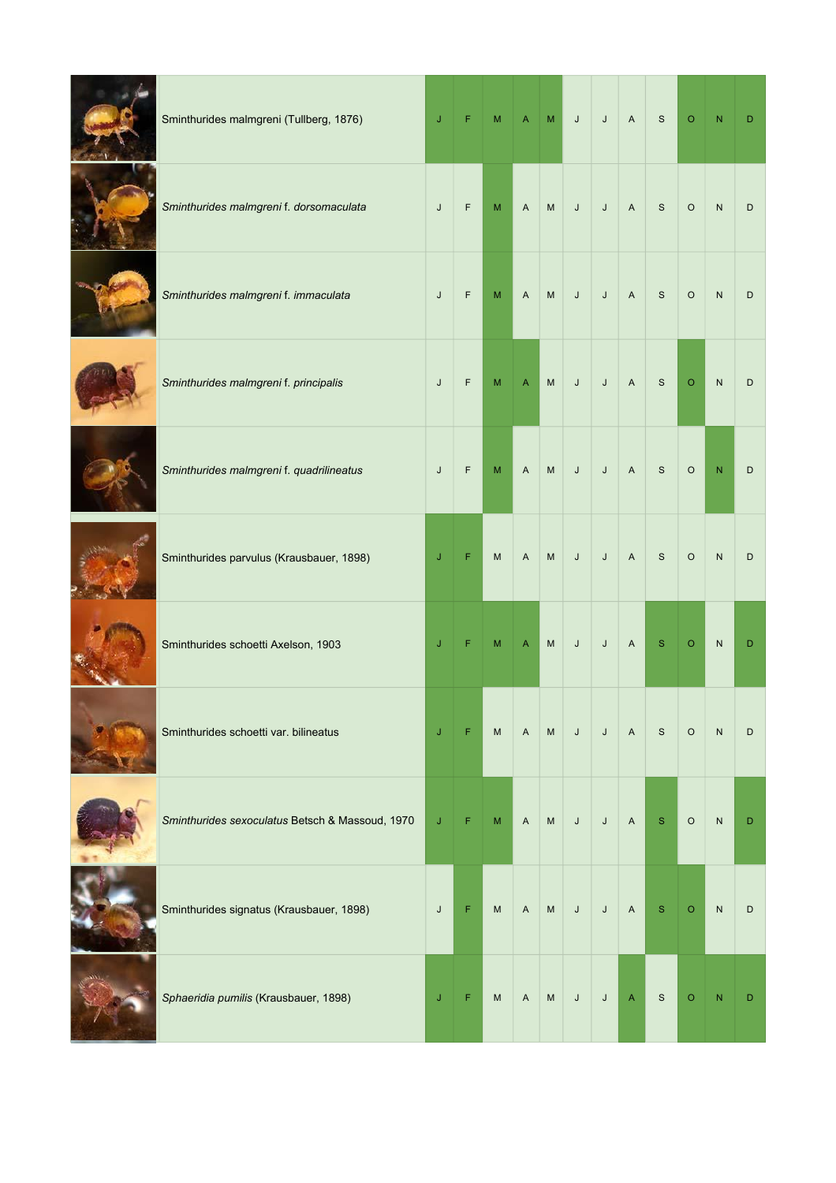| Sminthurides malmgreni (Tullberg, 1876)         | J | F           | M                                                                                                          | $\boldsymbol{\mathsf{A}}$ | $\mathsf{M}% _{T}=\mathsf{M}_{T}\!\left( a,b\right) ,\ \mathsf{M}_{T}=\mathsf{M}_{T}\!\left( a,b\right) ,$ | $\mathsf J$ | J           | $\mathsf A$               | $\mathsf{s}$  | $\circ$ | $\mathsf{N}$   | D |
|-------------------------------------------------|---|-------------|------------------------------------------------------------------------------------------------------------|---------------------------|------------------------------------------------------------------------------------------------------------|-------------|-------------|---------------------------|---------------|---------|----------------|---|
| Sminthurides malmgreni f. dorsomaculata         | J | $\mathsf F$ | M                                                                                                          | $\mathsf A$               | $\mathsf{M}% _{T}=\mathsf{M}_{T}\!\left( a,b\right) ,\ \mathsf{M}_{T}=\mathsf{M}_{T}\!\left( a,b\right) ,$ | $\mathsf J$ | $\mathsf J$ | $\boldsymbol{A}$          | S             | $\circ$ | ${\sf N}$      | D |
| Sminthurides malmgreni f. immaculata            | J | F           | ${\sf M}$                                                                                                  | $\boldsymbol{\mathsf{A}}$ | M                                                                                                          | $\sf J$     | J           | $\overline{A}$            | $\mathsf S$   | $\circ$ | ${\sf N}$      | D |
| Sminthurides malmgreni f. principalis           | J | F           | M                                                                                                          | $\overline{A}$            | ${\sf M}$                                                                                                  | $\sf J$     | J           | $\mathsf{A}$              | S             | $\circ$ | ${\sf N}$      | D |
| Sminthurides malmgreni f. quadrilineatus        | J | $\mathsf F$ | $\mathsf{M}% _{T}=\mathsf{M}_{T}\!\left( a,b\right) ,\ \mathsf{M}_{T}=\mathsf{M}_{T}\!\left( a,b\right) ,$ | $\boldsymbol{\mathsf{A}}$ | ${\sf M}$                                                                                                  | $\mathsf J$ | $\mathsf J$ | $\boldsymbol{A}$          | $\mathsf{s}$  | $\circ$ | $\overline{N}$ | D |
| Sminthurides parvulus (Krausbauer, 1898)        | J | F           | M                                                                                                          | $\boldsymbol{\mathsf{A}}$ | ${\sf M}$                                                                                                  | $\sf J$     | J           | $\boldsymbol{\mathsf{A}}$ | $\mathsf{s}$  | $\circ$ | $\mathsf{N}$   | D |
| Sminthurides schoetti Axelson, 1903             | J | F           | M                                                                                                          | $\overline{A}$            | ${\sf M}$                                                                                                  | $\sf J$     | J           | $\boldsymbol{\mathsf{A}}$ | $\mathbf{s}$  | $\circ$ | N              | D |
| Sminthurides schoetti var. bilineatus           | J | F           | ${\sf M}$                                                                                                  | A                         | M                                                                                                          | J           | J           | $\boldsymbol{\mathsf{A}}$ | $\mathbf S$   | $\circ$ | ${\sf N}$      | D |
| Sminthurides sexoculatus Betsch & Massoud, 1970 | J | F           | M                                                                                                          | $\mathsf A$               | M                                                                                                          | $\sf J$     | J           | $\boldsymbol{\mathsf{A}}$ | ${\mathbb S}$ | $\circ$ | ${\sf N}$      | D |
| Sminthurides signatus (Krausbauer, 1898)        | J | F           | M                                                                                                          | $\mathsf A$               | M                                                                                                          | $\sf J$     | J           | $\mathsf A$               | $\mathbf S$   | $\circ$ | ${\sf N}$      | D |
| Sphaeridia pumilis (Krausbauer, 1898)           | J | F           | M                                                                                                          | A                         | ${\sf M}$                                                                                                  | $\mathsf J$ | $\mathsf J$ | $\boldsymbol{\mathsf{A}}$ | S             | $\circ$ | N              | D |